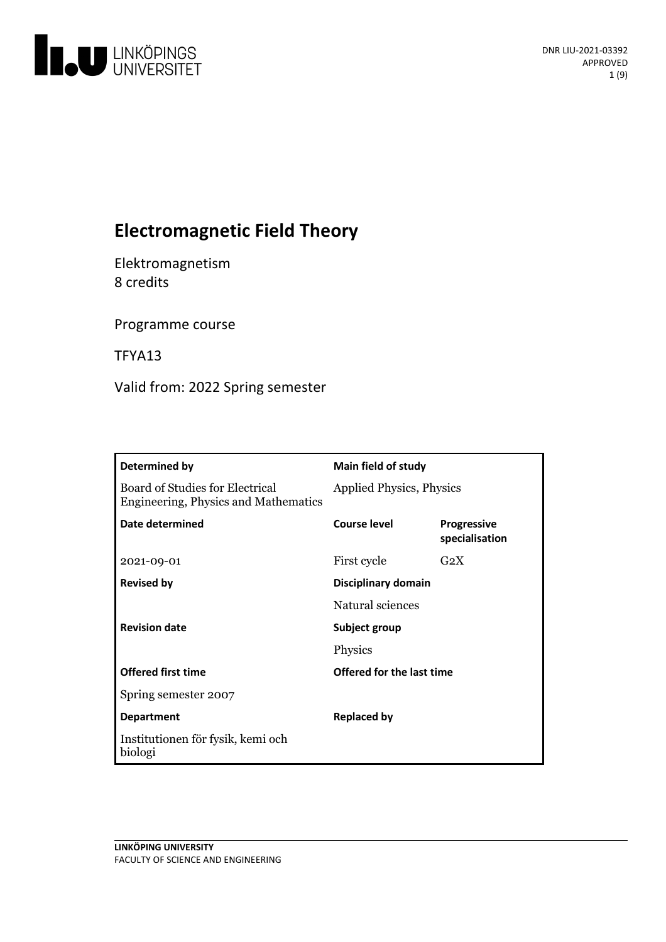

# **Electromagnetic Field Theory**

Elektromagnetism 8 credits

Programme course

TFYA13

Valid from: 2022 Spring semester

| Determined by                                                                  | <b>Main field of study</b>      |                                      |
|--------------------------------------------------------------------------------|---------------------------------|--------------------------------------|
| Board of Studies for Electrical<br><b>Engineering, Physics and Mathematics</b> | <b>Applied Physics, Physics</b> |                                      |
| Date determined                                                                | <b>Course level</b>             | <b>Progressive</b><br>specialisation |
| 2021-09-01                                                                     | First cycle                     | $G_2X$                               |
| <b>Revised by</b>                                                              | <b>Disciplinary domain</b>      |                                      |
|                                                                                | Natural sciences                |                                      |
| <b>Revision date</b>                                                           | Subject group                   |                                      |
|                                                                                | Physics                         |                                      |
| <b>Offered first time</b>                                                      | Offered for the last time       |                                      |
| Spring semester 2007                                                           |                                 |                                      |
| <b>Department</b>                                                              | <b>Replaced by</b>              |                                      |
| Institutionen för fysik, kemi och<br>biologi                                   |                                 |                                      |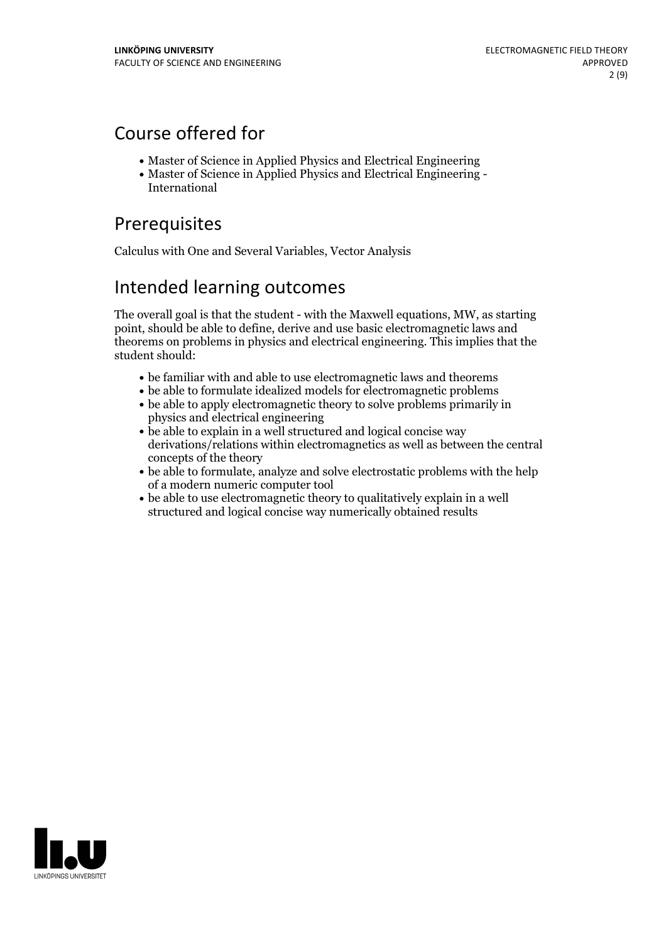## Course offered for

- Master of Science in Applied Physics and Electrical Engineering
- Master of Science in Applied Physics and Electrical Engineering International

# Prerequisites

Calculus with One and Several Variables, Vector Analysis

## Intended learning outcomes

The overall goal is that the student - with the Maxwell equations, MW, as starting point, should be able to define, derive and use basic electromagnetic laws and theorems on problems in physics and electrical engineering. This implies that the student should:

- be familiar with and able to use electromagnetic laws and theorems
- be able to formulate idealized models for electromagnetic problems
- be able to apply electromagnetic theory to solve problems primarily in physics and electrical engineering
- be able to explain in a well structured and logical concise way derivations/relations within electromagnetics as well as between the central concepts of the theory
- be able to formulate, analyze and solve electrostatic problems with the help of a modern numeric computer tool
- be able to use electromagnetic theory to qualitatively explain in a well structured and logical concise way numerically obtained results

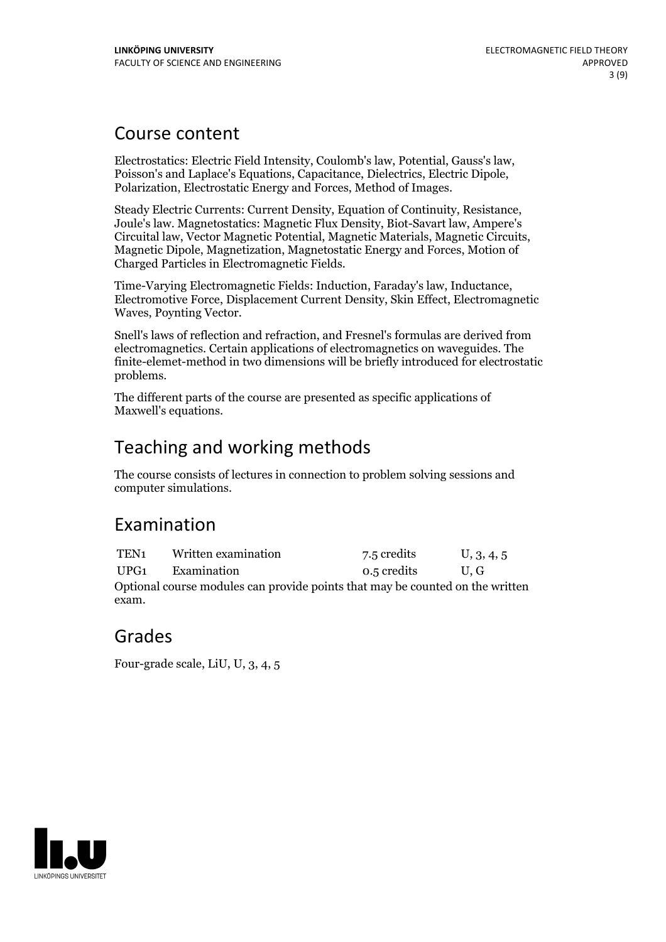## Course content

Electrostatics: Electric Field Intensity, Coulomb's law, Potential, Gauss's law, Poisson's and Laplace's Equations, Capacitance, Dielectrics, Electric Dipole, Polarization, Electrostatic Energy and Forces, Method of Images.

Steady Electric Currents: Current Density, Equation of Continuity, Resistance, Joule's law. Magnetostatics: Magnetic Flux Density, Biot-Savart law, Ampere's Circuital law, Vector Magnetic Potential, Magnetic Materials, Magnetic Circuits, Magnetic Dipole, Magnetization, Magnetostatic Energy and Forces, Motion of Charged Particles in Electromagnetic Fields.

Time-Varying Electromagnetic Fields: Induction, Faraday's law, Inductance, Electromotive Force, Displacement Current Density, Skin Effect, Electromagnetic Waves, Poynting Vector.

Snell's laws of reflection and refraction, and Fresnel's formulas are derived from electromagnetics. Certain applications of electromagnetics on waveguides. The finite-elemet-method in two dimensions will be briefly introduced for electrostatic problems.

The different parts of the course are presented as specific applications of Maxwell's equations.

# Teaching and working methods

The course consists of lectures in connection to problem solving sessions and computer simulations.

## Examination

TEN<sub>1</sub> Written examination 7.5 credits U, 3, 4, 5 UPG1 Examination 0.5 credits U, G Optional course modules can provide points that may be counted on the written exam.

## Grades

Four-grade scale, LiU, U, 3, 4, 5

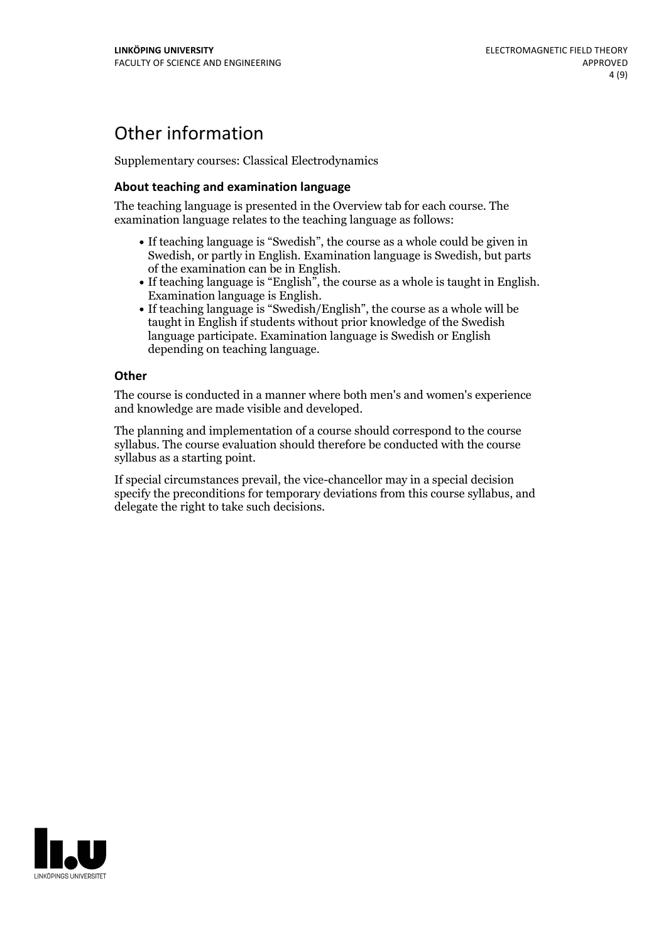## Other information

Supplementary courses: Classical Electrodynamics

### **About teaching and examination language**

The teaching language is presented in the Overview tab for each course. The examination language relates to the teaching language as follows:

- If teaching language is "Swedish", the course as a whole could be given in Swedish, or partly in English. Examination language is Swedish, but parts
- of the examination can be in English. If teaching language is "English", the course as <sup>a</sup> whole is taught in English. Examination language is English. If teaching language is "Swedish/English", the course as <sup>a</sup> whole will be
- taught in English if students without prior knowledge of the Swedish language participate. Examination language is Swedish or English depending on teaching language.

#### **Other**

The course is conducted in a manner where both men's and women's experience and knowledge are made visible and developed.

The planning and implementation of a course should correspond to the course syllabus. The course evaluation should therefore be conducted with the course syllabus as a starting point.

If special circumstances prevail, the vice-chancellor may in a special decision specify the preconditions for temporary deviations from this course syllabus, and delegate the right to take such decisions.

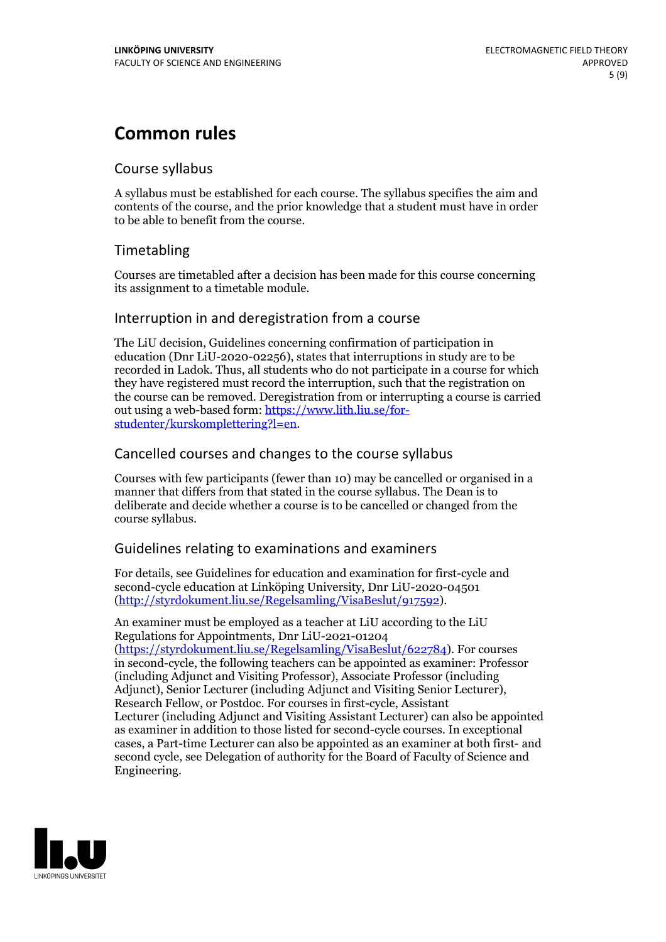## **Common rules**

## Course syllabus

A syllabus must be established for each course. The syllabus specifies the aim and contents of the course, and the prior knowledge that a student must have in order to be able to benefit from the course.

## Timetabling

Courses are timetabled after a decision has been made for this course concerning its assignment to a timetable module.

### Interruption in and deregistration from a course

The LiU decision, Guidelines concerning confirmation of participation in education (Dnr LiU-2020-02256), states that interruptions in study are to be recorded in Ladok. Thus, all students who do not participate in a course for which they have registered must record the interruption, such that the registration on the course can be removed. Deregistration from or interrupting a course is carried out using <sup>a</sup> web-based form: https://www.lith.liu.se/for- [studenter/kurskomplettering?l=en.](https://www.lith.liu.se/for-studenter/kurskomplettering?l=en)

## Cancelled courses and changes to the course syllabus

Courses with few participants (fewer than 10) may be cancelled or organised in a manner that differs from that stated in the course syllabus. The Dean is to deliberate and decide whether a course is to be cancelled or changed from the course syllabus.

## Guidelines relating to examinations and examiners

For details, see Guidelines for education and examination for first-cycle and second-cycle education at Linköping University, Dnr LiU-2020-04501 [\(http://styrdokument.liu.se/Regelsamling/VisaBeslut/917592\)](http://styrdokument.liu.se/Regelsamling/VisaBeslut/917592).

An examiner must be employed as a teacher at LiU according to the LiU Regulations for Appointments, Dnr LiU-2021-01204 [\(https://styrdokument.liu.se/Regelsamling/VisaBeslut/622784](https://styrdokument.liu.se/Regelsamling/VisaBeslut/622784)). For courses in second-cycle, the following teachers can be appointed as examiner: Professor (including Adjunct and Visiting Professor), Associate Professor (including Adjunct), Senior Lecturer (including Adjunct and Visiting Senior Lecturer), Research Fellow, or Postdoc. For courses in first-cycle, Assistant Lecturer (including Adjunct and Visiting Assistant Lecturer) can also be appointed as examiner in addition to those listed for second-cycle courses. In exceptional cases, a Part-time Lecturer can also be appointed as an examiner at both first- and second cycle, see Delegation of authority for the Board of Faculty of Science and Engineering.

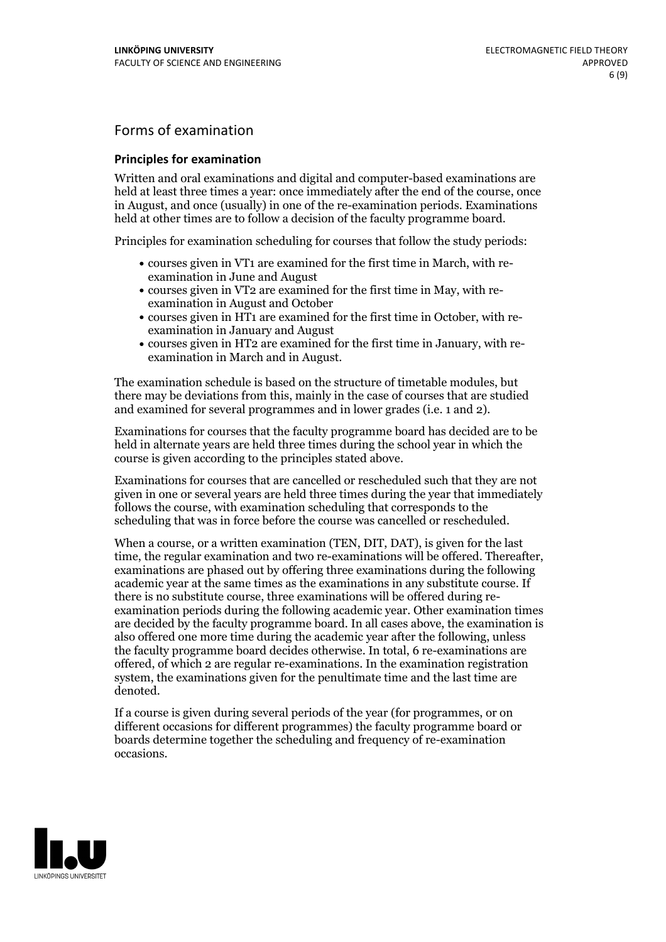## Forms of examination

#### **Principles for examination**

Written and oral examinations and digital and computer-based examinations are held at least three times a year: once immediately after the end of the course, once in August, and once (usually) in one of the re-examination periods. Examinations held at other times are to follow a decision of the faculty programme board.

Principles for examination scheduling for courses that follow the study periods:

- courses given in VT1 are examined for the first time in March, with re-examination in June and August
- courses given in VT2 are examined for the first time in May, with re-examination in August and October
- courses given in HT1 are examined for the first time in October, with re-examination in January and August
- courses given in HT2 are examined for the first time in January, with re-examination in March and in August.

The examination schedule is based on the structure of timetable modules, but there may be deviations from this, mainly in the case of courses that are studied and examined for several programmes and in lower grades (i.e. 1 and 2).

Examinations for courses that the faculty programme board has decided are to be held in alternate years are held three times during the school year in which the course is given according to the principles stated above.

Examinations for courses that are cancelled orrescheduled such that they are not given in one or several years are held three times during the year that immediately follows the course, with examination scheduling that corresponds to the scheduling that was in force before the course was cancelled or rescheduled.

When a course, or a written examination (TEN, DIT, DAT), is given for the last time, the regular examination and two re-examinations will be offered. Thereafter, examinations are phased out by offering three examinations during the following academic year at the same times as the examinations in any substitute course. If there is no substitute course, three examinations will be offered during re- examination periods during the following academic year. Other examination times are decided by the faculty programme board. In all cases above, the examination is also offered one more time during the academic year after the following, unless the faculty programme board decides otherwise. In total, 6 re-examinations are offered, of which 2 are regular re-examinations. In the examination registration system, the examinations given for the penultimate time and the last time are denoted.

If a course is given during several periods of the year (for programmes, or on different occasions for different programmes) the faculty programme board or boards determine together the scheduling and frequency of re-examination occasions.

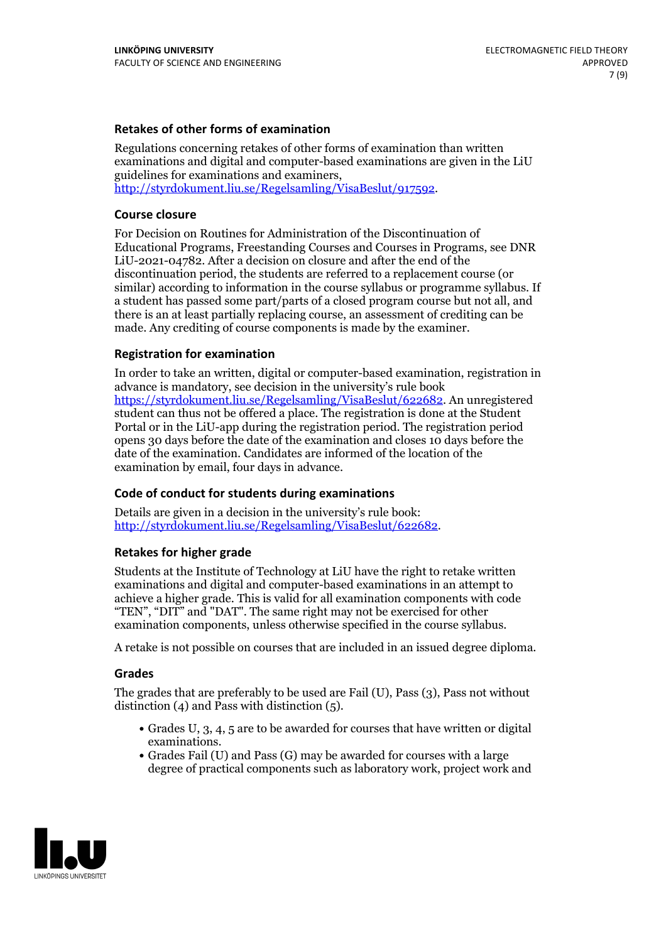### **Retakes of other forms of examination**

Regulations concerning retakes of other forms of examination than written examinations and digital and computer-based examinations are given in the LiU guidelines for examinations and examiners, [http://styrdokument.liu.se/Regelsamling/VisaBeslut/917592.](http://styrdokument.liu.se/Regelsamling/VisaBeslut/917592)

#### **Course closure**

For Decision on Routines for Administration of the Discontinuation of Educational Programs, Freestanding Courses and Courses in Programs, see DNR LiU-2021-04782. After a decision on closure and after the end of the discontinuation period, the students are referred to a replacement course (or similar) according to information in the course syllabus or programme syllabus. If a student has passed some part/parts of a closed program course but not all, and there is an at least partially replacing course, an assessment of crediting can be made. Any crediting of course components is made by the examiner.

### **Registration for examination**

In order to take an written, digital or computer-based examination, registration in advance is mandatory, see decision in the university's rule book [https://styrdokument.liu.se/Regelsamling/VisaBeslut/622682.](https://styrdokument.liu.se/Regelsamling/VisaBeslut/622682) An unregistered student can thus not be offered a place. The registration is done at the Student Portal or in the LiU-app during the registration period. The registration period opens 30 days before the date of the examination and closes 10 days before the date of the examination. Candidates are informed of the location of the examination by email, four days in advance.

### **Code of conduct for students during examinations**

Details are given in a decision in the university's rule book: <http://styrdokument.liu.se/Regelsamling/VisaBeslut/622682>.

#### **Retakes for higher grade**

Students at the Institute of Technology at LiU have the right to retake written examinations and digital and computer-based examinations in an attempt to achieve a higher grade. This is valid for all examination components with code "TEN", "DIT" and "DAT". The same right may not be exercised for other examination components, unless otherwise specified in the course syllabus.

A retake is not possible on courses that are included in an issued degree diploma.

#### **Grades**

The grades that are preferably to be used are Fail (U), Pass (3), Pass not without distinction  $(4)$  and Pass with distinction  $(5)$ .

- Grades U, 3, 4, 5 are to be awarded for courses that have written or digital examinations.<br>• Grades Fail (U) and Pass (G) may be awarded for courses with a large
- degree of practical components such as laboratory work, project work and

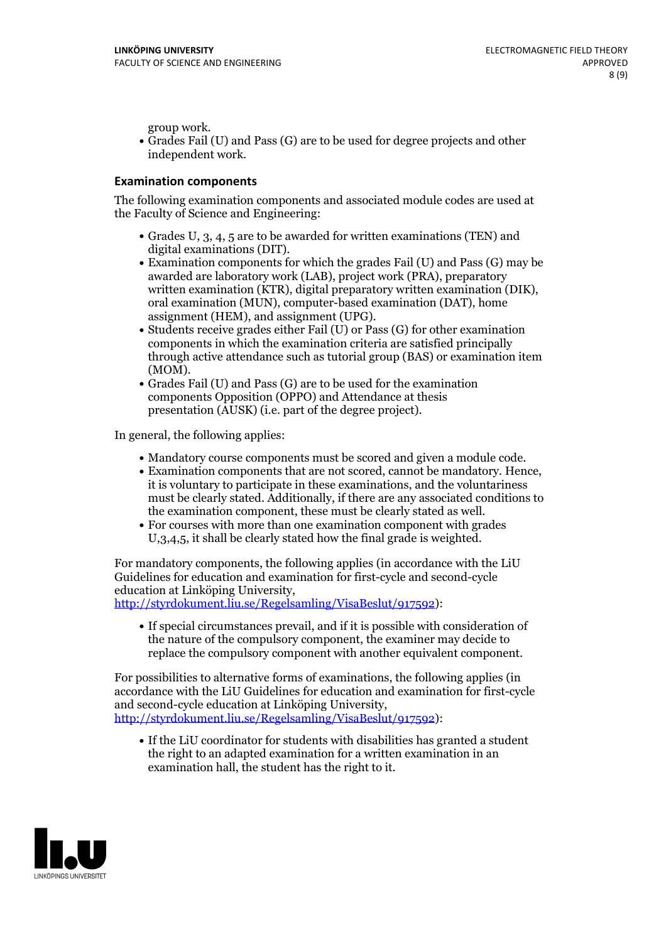group work.<br>• Grades Fail (U) and Pass (G) are to be used for degree projects and other independent work.

### **Examination components**

The following examination components and associated module codes are used at the Faculty of Science and Engineering:

- Grades U, 3, 4, 5 are to be awarded for written examinations (TEN) and
- digital examinations (DIT).<br>• Examination components for which the grades Fail (U) and Pass (G) may be awarded are laboratory work (LAB), project work (PRA), preparatory written examination (KTR), digital preparatory written examination (DIK), oral examination (MUN), computer-based examination (DAT), home
- assignment (HEM), and assignment (UPG).<br>• Students receive grades either Fail (U) or Pass (G) for other examination components in which the examination criteria are satisfied principally through active attendance such as tutorial group (BAS) or examination item
- (MOM).<br>• Grades Fail (U) and Pass (G) are to be used for the examination components Opposition (OPPO) and Attendance at thesis presentation (AUSK) (i.e. part of the degree project).

In general, the following applies:

- 
- Mandatory course components must be scored and given <sup>a</sup> module code. Examination components that are not scored, cannot be mandatory. Hence, it is voluntary to participate in these examinations, and the voluntariness must be clearly stated. Additionally, if there are any associated conditions to
- the examination component, these must be clearly stated as well.<br>• For courses with more than one examination component with grades U,3,4,5, it shall be clearly stated how the final grade is weighted.

For mandatory components, the following applies (in accordance with the LiU Guidelines for education and examination for first-cycle and second-cycle education at Linköping University,<br>[http://styrdokument.liu.se/Regelsamling/VisaBeslut/917592\)](http://styrdokument.liu.se/Regelsamling/VisaBeslut/917592):

If special circumstances prevail, and if it is possible with consideration of the nature of the compulsory component, the examiner may decide to replace the compulsory component with another equivalent component.

For possibilities to alternative forms of examinations, the following applies (in accordance with the LiU Guidelines for education and examination for first-cycle [http://styrdokument.liu.se/Regelsamling/VisaBeslut/917592\)](http://styrdokument.liu.se/Regelsamling/VisaBeslut/917592):

If the LiU coordinator for students with disabilities has granted a student the right to an adapted examination for a written examination in an examination hall, the student has the right to it.